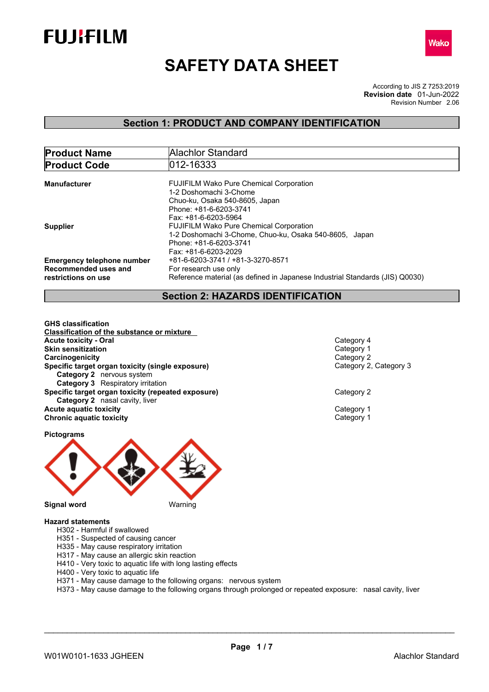



# **SAFETY DATA SHEET**

According to JIS Z 7253:2019 Revision Number 2.06 **Revision date** 01-Jun-2022

## **Section 1: PRODUCT AND COMPANY IDENTIFICATION**

| <b>Product Name</b>               | Alachlor Standard                                                                                        |
|-----------------------------------|----------------------------------------------------------------------------------------------------------|
| <b>Product Code</b>               | 012-16333                                                                                                |
| <b>Manufacturer</b>               | <b>FUJIFILM Wako Pure Chemical Corporation</b><br>1-2 Doshomachi 3-Chome                                 |
|                                   | Chuo-ku, Osaka 540-8605, Japan<br>Phone: +81-6-6203-3741                                                 |
| <b>Supplier</b>                   | Fax: +81-6-6203-5964<br><b>FUJIFILM Wako Pure Chemical Corporation</b>                                   |
|                                   | 1-2 Doshomachi 3-Chome, Chuo-ku, Osaka 540-8605, Japan<br>Phone: +81-6-6203-3741<br>Fax: +81-6-6203-2029 |
| <b>Emergency telephone number</b> | +81-6-6203-3741 / +81-3-3270-8571                                                                        |
| Recommended uses and              | For research use only                                                                                    |
| restrictions on use               | Reference material (as defined in Japanese Industrial Standards (JIS) Q0030)                             |

## **Section 2: HAZARDS IDENTIFICATION**

**GHS classification Classification of the substance or mixture Acute toxicity - Oral** Category 4 **Skin sensitization**<br> **Skin sensitization**<br>
Category 2 Category 2 **Carcinogenicity**<br> **Category 2** Category 2<br> **Category 2, Category 3 Specific target organ toxicity (single exposure) Category 2** nervous system **Category 3** Respiratory irritation **Specific target organ toxicity (repeated exposure)** Category 2 **Category 2** nasal cavity, liver **Acute aquatic toxicity**<br> **Category 1**<br> **Category 1**<br> **Category 1 Chronic aquatic toxicity** 

**Pictograms**



**Hazard statements**

- H302 Harmful if swallowed
- H351 Suspected of causing cancer
- H335 May cause respiratory irritation
- H317 May cause an allergic skin reaction
- H410 Very toxic to aquatic life with long lasting effects
- H400 Very toxic to aquatic life
- H371 May cause damage to the following organs: nervous system
- H373 May cause damage to the following organs through prolonged or repeated exposure: nasal cavity, liver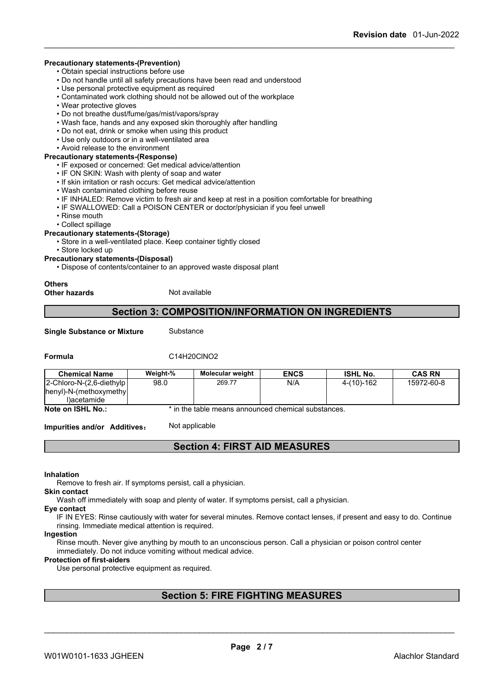#### **Precautionary statements-(Prevention)**

• Obtain special instructions before use

- Do not handle until all safety precautions have been read and understood
- Use personal protective equipment as required
- Contaminated work clothing should not be allowed out of the workplace
- Wear protective gloves
- Do not breathe dust/fume/gas/mist/vapors/spray
- Wash face, hands and any exposed skin thoroughly after handling
- Do not eat, drink or smoke when using this product
- Use only outdoors or in a well-ventilated area
- Avoid release to the environment

### **Precautionary statements-(Response)**

• IF exposed or concerned: Get medical advice/attention

- IF ON SKIN: Wash with plenty of soap and water
- If skin irritation or rash occurs: Get medical advice/attention
- Wash contaminated clothing before reuse
- IF INHALED: Remove victim to fresh air and keep at rest in a position comfortable for breathing
- IF SWALLOWED: Call a POISON CENTER or doctor/physician if you feel unwell
- Rinse mouth
- Collect spillage

### **Precautionary statements-(Storage)**

• Store in a well-ventilated place. Keep container tightly closed

- Store locked up
- **Precautionary statements-(Disposal)**
	- Dispose of contents/container to an approved waste disposal plant

**Others**

**Other hazards** Not available

### **Section 3: COMPOSITION/INFORMATION ON INGREDIENTS**

**Single Substance or Mixture** Substance

### **Formula** C14H20ClNO2

| <b>Chemical Name</b>      | Weight-% | <b>Molecular weight</b>                             | <b>ENCS</b> | <b>ISHL No.</b> | <b>CAS RN</b> |
|---------------------------|----------|-----------------------------------------------------|-------------|-----------------|---------------|
| 2-Chloro-N-(2,6-diethylp) | 98.0     | 269.77                                              | N/A         | 4-(10)-162      | 15972-60-8    |
| henyl)-N-(methoxymethyl   |          |                                                     |             |                 |               |
| l)acetamide               |          |                                                     |             |                 |               |
| Note on ISHL No.:         |          | * in the table means announced chemical substances. |             |                 |               |

**Impurities and/or Additives:** Not applicable

## **Section 4: FIRST AID MEASURES**

**Inhalation**

Remove to fresh air. If symptoms persist, call a physician.

**Skin contact**

Wash off immediately with soap and plenty of water. If symptoms persist, call a physician.

#### **Eye contact**

IF IN EYES: Rinse cautiously with water for several minutes. Remove contact lenses, if present and easy to do. Continue rinsing. Immediate medical attention is required.

#### **Ingestion**

Rinse mouth. Never give anything by mouth to an unconscious person. Call a physician or poison control center immediately. Do not induce vomiting without medical advice.

#### **Protection of first-aiders**

Use personal protective equipment as required.

## **Section 5: FIRE FIGHTING MEASURES**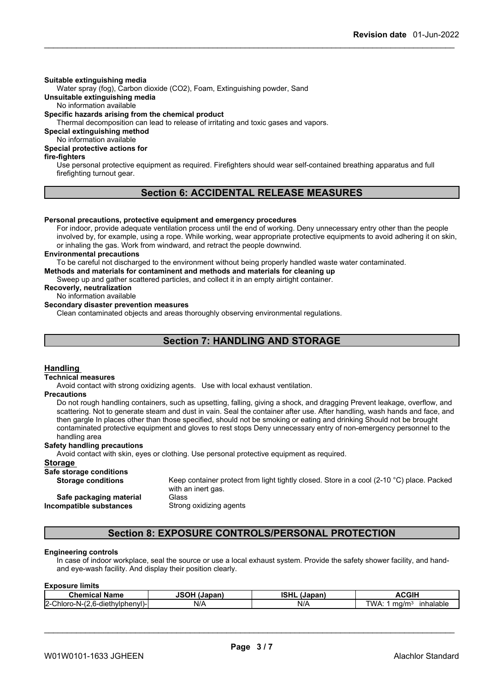#### **Suitable extinguishing media**

Water spray (fog), Carbon dioxide (CO2), Foam, Extinguishing powder, Sand

**Unsuitable extinguishing media**

No information available

#### **Specific hazards arising from the chemical product**

Thermal decomposition can lead to release of irritating and toxic gases and vapors.

**Special extinguishing method**

No information available

### **Special protective actions for**

### **fire-fighters**

Use personal protective equipment as required.Firefighters should wear self-contained breathing apparatus and full firefighting turnout gear.

### **Section 6: ACCIDENTAL RELEASE MEASURES**

#### **Personal precautions, protective equipment and emergency procedures**

For indoor, provide adequate ventilation process until the end of working. Deny unnecessary entry other than the people involved by, for example, using a rope. While working, wear appropriate protective equipments to avoid adhering it on skin, or inhaling the gas. Work from windward, and retract the people downwind.

#### **Environmental precautions**

To be careful not discharged to the environment without being properly handled waste water contaminated.

**Methods and materials for contaminent and methods and materials for cleaning up**

Sweep up and gather scattered particles, and collect it in an empty airtight container.

### **Recoverly, neutralization**

### No information available

**Secondary disaster prevention measures**

Clean contaminated objects and areas thoroughly observing environmental regulations.

## **Section 7: HANDLING AND STORAGE**

#### **Handling**

#### **Technical measures**

Avoid contact with strong oxidizing agents. Use with local exhaust ventilation.

#### **Precautions**

Do not rough handling containers, such as upsetting, falling, giving a shock, and dragging Prevent leakage, overflow, and scattering. Not to generate steam and dust in vain. Seal the container after use. After handling, wash hands and face, and then gargle In places other than those specified, should not be smoking or eating and drinking Should not be brought contaminated protective equipment and gloves to rest stops Deny unnecessary entry of non-emergency personnel to the handling area

#### **Safety handling precautions**

Avoid contact with skin, eyes or clothing. Use personal protective equipment as required.

#### **Storage**

# **Safe storage conditions**

**Safe packaging material** Glass

Keep container protect from light tightly closed. Store in a cool (2-10 °C) place. Packed with an inert gas.

**Incompatible substances** Strong oxidizing agents

### **Section 8: EXPOSURE CONTROLS/PERSONAL PROTECTION**

#### **Engineering controls**

In case of indoor workplace, seal the source or use a local exhaust system. Provide the safety shower facility, and handand eye-wash facility. And display their position clearly.

| <b>Exposure limits</b> |  |
|------------------------|--|
|------------------------|--|

| Chemical                                                                                 | <b>JSOH (Japan)</b> | <b>ISHL</b> | <b>ACGIF</b>              |
|------------------------------------------------------------------------------------------|---------------------|-------------|---------------------------|
| <b>Name</b>                                                                              |                     | (Japan)     | . .                       |
| <br>$\bigcap_{i=1}$<br>$\epsilon$<br>hviphenvi)-<br>.o-dieth.<br>Chloro<br>` -IN- -<br>. | N/A                 | N/A         | TWA.<br>m∩/m⊴<br>nhalable |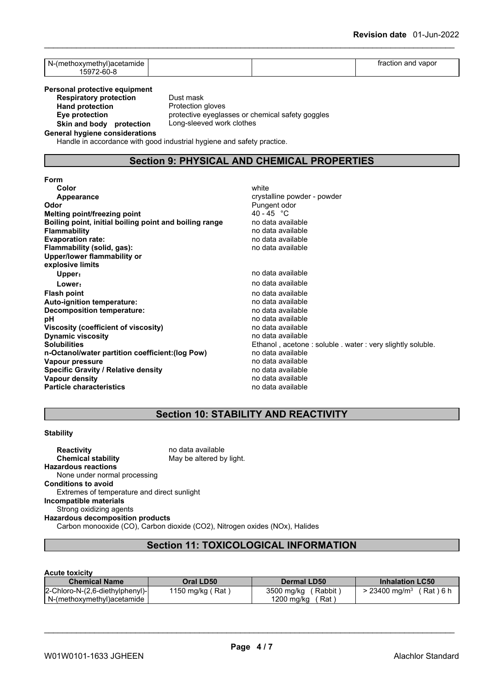| N.<br>` <sup>∖</sup> acetamıde<br>w |  | ---<br>vapor<br>and<br>170.IIO |  |
|-------------------------------------|--|--------------------------------|--|
| ^^<br>59<br>--<br>· J−t             |  |                                |  |

**Personal protective equipment**<br>**Respiratory protection** Dust mask

**Respiratory protection**<br>Hand protection **Skin** and body protection

**Protection gloves Eye protection** protective eyeglasses or chemical safety goggles<br> **Skin and body protection** Long-sleeved work clothes

**General hygiene considerations**

Handle in accordance with good industrial hygiene and safety practice.

## **Section 9: PHYSICAL AND CHEMICAL PROPERTIES**

| Form                                                   |                                                          |
|--------------------------------------------------------|----------------------------------------------------------|
| Color                                                  | white                                                    |
| <b>Appearance</b>                                      | crystalline powder - powder                              |
| Odor                                                   | Pungent odor                                             |
| Melting point/freezing point                           | 40 - 45 °C                                               |
| Boiling point, initial boiling point and boiling range | no data available                                        |
| <b>Flammability</b>                                    | no data available                                        |
| <b>Evaporation rate:</b>                               | no data available                                        |
| Flammability (solid, gas):                             | no data available                                        |
| Upper/lower flammability or                            |                                                          |
| explosive limits                                       |                                                          |
| Upper:                                                 | no data available                                        |
| Lower:                                                 | no data available                                        |
| <b>Flash point</b>                                     | no data available                                        |
| Auto-ignition temperature:                             | no data available                                        |
| Decomposition temperature:                             | no data available                                        |
| рH                                                     | no data available                                        |
| Viscosity (coefficient of viscosity)                   | no data available                                        |
| <b>Dynamic viscosity</b>                               | no data available                                        |
| <b>Solubilities</b>                                    | Ethanol, acetone: soluble. water: very slightly soluble. |
| n-Octanol/water partition coefficient: (log Pow)       | no data available                                        |
| Vapour pressure                                        | no data available                                        |
| <b>Specific Gravity / Relative density</b>             | no data available                                        |
| Vapour density                                         | no data available                                        |
| <b>Particle characteristics</b>                        | no data available                                        |

## **Section 10: STABILITY AND REACTIVITY**

#### **Stability**

**Reactivity no data available Chemical stability** May be altered by light. **Hazardous reactions** None under normal processing **Conditions to avoid** Extremes of temperature and direct sunlight **Incompatible materials** Strong oxidizing agents **Hazardous decomposition products** Carbon monooxide (CO), Carbon dioxide (CO2), Nitrogen oxides (NOx), Halides

## **Section 11: TOXICOLOGICAL INFORMATION**

### **Acute toxicity**

| <b>Chemical Name</b>            | Oral LD50                       | Dermal LD50          | <b>Inhalation LC50</b>              |
|---------------------------------|---------------------------------|----------------------|-------------------------------------|
| 2-Chloro-N-(2,6-diethylphenyl)- | 1150 mg/kg <sub>\</sub><br>(Rat | 3500 mg/kg<br>Rabbit | $23400 \text{ ma/m}^3$<br>Rat ) 6 h |
| N-(methoxymethyl)acetamide      |                                 | 200 mg/kg<br>Rat     |                                     |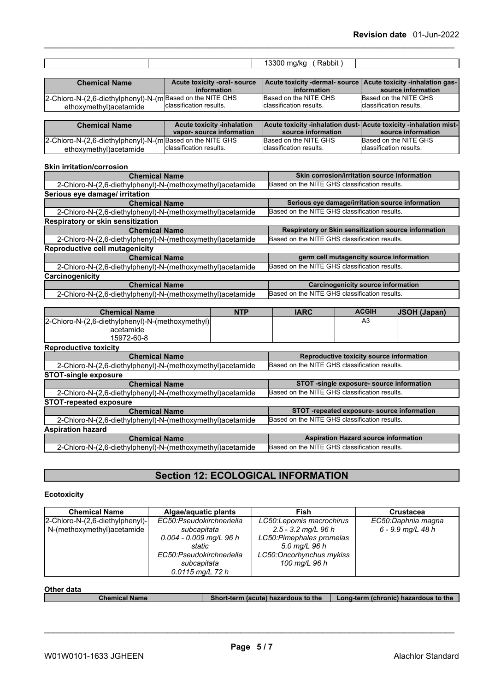|                                                                                      |                                                               | Rabbit)<br>13300 mg/kg                           |                                                                                         |
|--------------------------------------------------------------------------------------|---------------------------------------------------------------|--------------------------------------------------|-----------------------------------------------------------------------------------------|
|                                                                                      |                                                               |                                                  |                                                                                         |
| <b>Chemical Name</b>                                                                 | Acute toxicity -oral- source<br>information                   | Acute toxicity -dermal- source<br>information    | Acute toxicity -inhalation gas-<br>source information                                   |
| 2-Chloro-N-(2,6-diethylphenyl)-N-(m Based on the NITE GHS<br>ethoxymethyl) acetamide | classification results.                                       | Based on the NITE GHS<br>classification results. | Based on the NITE GHS<br><b>I</b> classification results.                               |
|                                                                                      |                                                               |                                                  |                                                                                         |
| <b>Chemical Name</b>                                                                 | <b>Acute toxicity -inhalation</b><br>vapor-source information | source information                               | Acute toxicity -inhalation dust- Acute toxicity -inhalation mist-<br>source information |
| 2-Chloro-N-(2,6-diethylphenyl)-N-(m Based on the NITE GHS<br>ethoxymethyl) acetamide | classification results.                                       | Based on the NITE GHS<br>classification results. | Based on the NITE GHS<br><b>I</b> classification results.                               |
| <b>Skin irritation/corrosion</b>                                                     |                                                               |                                                  |                                                                                         |
| <b>Chemical Name</b>                                                                 |                                                               |                                                  | Skin corrosion/irritation source information                                            |

| <b>Chemical Name</b>                                       | Skin corrosion/irritation source information         |  |
|------------------------------------------------------------|------------------------------------------------------|--|
| 2-Chloro-N-(2,6-diethylphenyl)-N-(methoxymethyl) acetamide | Based on the NITE GHS classification results.        |  |
| Serious eye damage/ irritation                             |                                                      |  |
| <b>Chemical Name</b>                                       | Serious eye damage/irritation source information     |  |
| 2-Chloro-N-(2,6-diethylphenyl)-N-(methoxymethyl) acetamide | Based on the NITE GHS classification results.        |  |
| Respiratory or skin sensitization                          |                                                      |  |
| <b>Chemical Name</b>                                       | Respiratory or Skin sensitization source information |  |
| 2-Chloro-N-(2,6-diethylphenyl)-N-(methoxymethyl) acetamide | Based on the NITE GHS classification results.        |  |
| Reproductive cell mutagenicity                             |                                                      |  |
| <b>Chemical Name</b>                                       | germ cell mutagencity source information             |  |
| 2-Chloro-N-(2,6-diethylphenyl)-N-(methoxymethyl)acetamide  | Based on the NITE GHS classification results.        |  |
| Carcinogenicity                                            |                                                      |  |
| <b>Chemical Name</b>                                       | <b>Carcinogenicity source information</b>            |  |
| 2-Chloro-N-(2,6-diethylphenyl)-N-(methoxymethyl)acetamide  | Based on the NITE GHS classification results.        |  |

| <b>Chemical Name</b>                                       | <b>NTP</b> | <b>IARC</b>                                   | <b>ACGIH</b>                                | <b>JSOH</b> (Japan) |
|------------------------------------------------------------|------------|-----------------------------------------------|---------------------------------------------|---------------------|
| 2-Chloro-N-(2,6-diethylphenyl)-N-(methoxymethyl)           |            |                                               | A3                                          |                     |
| acetamide                                                  |            |                                               |                                             |                     |
| 15972-60-8                                                 |            |                                               |                                             |                     |
| <b>Reproductive toxicity</b>                               |            |                                               |                                             |                     |
| <b>Chemical Name</b>                                       |            |                                               | Reproductive toxicity source information    |                     |
| 2-Chloro-N-(2,6-diethylphenyl)-N-(methoxymethyl) acetamide |            | Based on the NITE GHS classification results. |                                             |                     |
| <b>STOT-single exposure</b>                                |            |                                               |                                             |                     |
| <b>Chemical Name</b>                                       |            |                                               | STOT -single exposure-source information    |                     |
| 2-Chloro-N-(2,6-diethylphenyl)-N-(methoxymethyl) acetamide |            | Based on the NITE GHS classification results. |                                             |                     |
| <b>STOT-repeated exposure</b>                              |            |                                               |                                             |                     |
| <b>Chemical Name</b>                                       |            |                                               | STOT -repeated exposure- source information |                     |
| 2-Chloro-N-(2,6-diethylphenyl)-N-(methoxymethyl) acetamide |            | Based on the NITE GHS classification results. |                                             |                     |
| <b>Aspiration hazard</b>                                   |            |                                               |                                             |                     |
| <b>Chemical Name</b>                                       |            |                                               | <b>Aspiration Hazard source information</b> |                     |
| 2-Chloro-N-(2,6-diethylphenyl)-N-(methoxymethyl) acetamide |            | Based on the NITE GHS classification results. |                                             |                     |

## **Section 12: ECOLOGICAL INFORMATION**

## **Ecotoxicity**

| <b>Chemical Name</b>            | Algae/aguatic plants      | Fish                      | <b>Crustacea</b>   |
|---------------------------------|---------------------------|---------------------------|--------------------|
| 2-Chloro-N-(2,6-diethylphenyl)- | EC50:Pseudokirchneriella  | LC50: Lepomis macrochirus | EC50:Daphnia magna |
| N-(methoxymethyl)acetamide      | subcapitata               | $2.5$ - 3.2 mg/L 96 h     | 6 - 9.9 mg/L 48 h  |
|                                 | $0.004 - 0.009$ mg/L 96 h | LC50: Pimephales promelas |                    |
|                                 | static                    | 5.0 mg/L 96 h             |                    |
|                                 | EC50:Pseudokirchneriella  | LC50: Oncorhynchus mykiss |                    |
|                                 | subcapitata               | 100 mg/L 96 h             |                    |
|                                 | $0.0115$ mg/L 72 h        |                           |                    |

**Other data**<br> **Chemical Name Chemical Short-term** (acute) hazardous to the **Long-term** (chronic) hazardous to the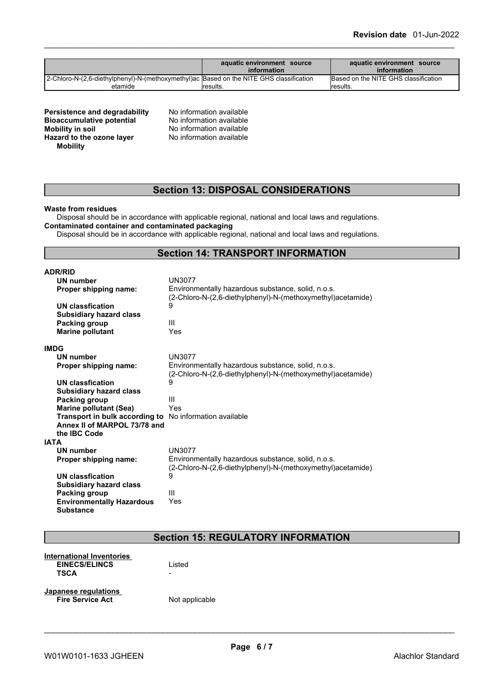|                                                                                         | aquatic environment source<br>information | aquatic environment source<br>information |
|-----------------------------------------------------------------------------------------|-------------------------------------------|-------------------------------------------|
| 2-Chloro-N-(2,6-diethylphenyl)-N-(methoxymethyl)ac Based on the NITE GHS classification |                                           | Based on the NITE GHS classification      |
| etamide                                                                                 | Iresults.                                 | <i><b>Iresults.</b></i>                   |

| Persistence and degradability    |  |
|----------------------------------|--|
| <b>Bioaccumulative potential</b> |  |
| <b>Mobility in soil</b>          |  |
| Hazard to the ozone layer        |  |
| <b>Mobility</b>                  |  |
|                                  |  |

**No information available No information available Mobility in soil** No information available **Hazard to the ozone layer** No information available

## **Section 13: DISPOSAL CONSIDERATIONS**

#### **Waste from residues**

Disposal should be in accordance with applicable regional, national and local laws and regulations. **Contaminated container and contaminated packaging**

Disposal should be in accordance with applicable regional, national and local laws and regulations.

## **Section 14: TRANSPORT INFORMATION**

| <b>ADR/RID</b>                   |                                                                                                                   |
|----------------------------------|-------------------------------------------------------------------------------------------------------------------|
| <b>UN number</b>                 | <b>UN3077</b>                                                                                                     |
| Proper shipping name:            | Environmentally hazardous substance, solid, n.o.s.<br>(2-Chloro-N-(2,6-diethylphenyl)-N-(methoxymethyl)acetamide) |
| <b>UN classfication</b>          | 9                                                                                                                 |
| <b>Subsidiary hazard class</b>   |                                                                                                                   |
| Packing group                    | Ш                                                                                                                 |
| <b>Marine pollutant</b>          | Yes                                                                                                               |
|                                  |                                                                                                                   |
| <b>IMDG</b>                      |                                                                                                                   |
| <b>UN number</b>                 | <b>UN3077</b>                                                                                                     |
| Proper shipping name:            | Environmentally hazardous substance, solid, n.o.s.<br>(2-Chloro-N-(2,6-diethylphenyl)-N-(methoxymethyl)acetamide) |
| UN classfication                 | 9                                                                                                                 |
| <b>Subsidiary hazard class</b>   |                                                                                                                   |
| Packing group                    | III                                                                                                               |
| <b>Marine pollutant (Sea)</b>    | Yes                                                                                                               |
| Transport in bulk according to   | No information available                                                                                          |
| Annex II of MARPOL 73/78 and     |                                                                                                                   |
| the IBC Code                     |                                                                                                                   |
| <b>IATA</b>                      |                                                                                                                   |
| UN number                        | <b>UN3077</b>                                                                                                     |
| Proper shipping name:            | Environmentally hazardous substance, solid, n.o.s.                                                                |
|                                  | (2-Chloro-N-(2,6-diethylphenyl)-N-(methoxymethyl)acetamide)                                                       |
| UN classfication                 | 9                                                                                                                 |
| <b>Subsidiary hazard class</b>   |                                                                                                                   |
| Packing group                    | Ш                                                                                                                 |
| <b>Environmentally Hazardous</b> | Yes                                                                                                               |
| <b>Substance</b>                 |                                                                                                                   |

## **Section 15: REGULATORY INFORMATION**

| International Inventories |        |  |
|---------------------------|--------|--|
| <b>EINECS/ELINCS</b>      | Listed |  |
| <b>TSCA</b>               | -      |  |
| Japanese regulations      | .      |  |

**Fire Service Act** Not applicable